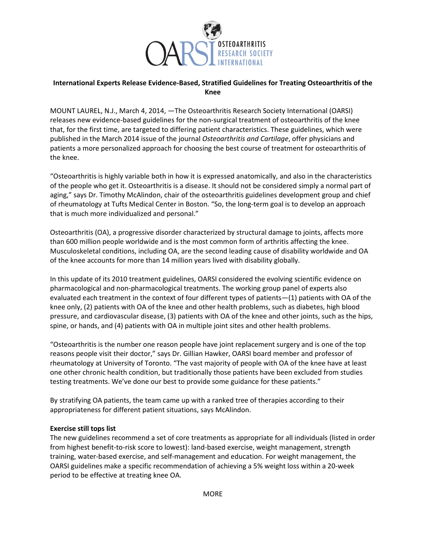

## International Experts Release Evidence-Based, Stratified Guidelines for Treating Osteoarthritis of the Knee

MOUNT LAUREL, N.J., March 4, 2014, —The Osteoarthritis Research Society International (OARSI) releases new evidence-based guidelines for the non-surgical treatment of osteoarthritis of the knee that, for the first time, are targeted to differing patient characteristics. These guidelines, which were published in the March 2014 issue of the journal Osteoarthritis and Cartilage, offer physicians and patients a more personalized approach for choosing the best course of treatment for osteoarthritis of the knee.

"Osteoarthritis is highly variable both in how it is expressed anatomically, and also in the characteristics of the people who get it. Osteoarthritis is a disease. It should not be considered simply a normal part of aging," says Dr. Timothy McAlindon, chair of the osteoarthritis guidelines development group and chief of rheumatology at Tufts Medical Center in Boston. "So, the long-term goal is to develop an approach that is much more individualized and personal."

Osteoarthritis (OA), a progressive disorder characterized by structural damage to joints, affects more than 600 million people worldwide and is the most common form of arthritis affecting the knee. Musculoskeletal conditions, including OA, are the second leading cause of disability worldwide and OA of the knee accounts for more than 14 million years lived with disability globally.

In this update of its 2010 treatment guidelines, OARSI considered the evolving scientific evidence on pharmacological and non-pharmacological treatments. The working group panel of experts also evaluated each treatment in the context of four different types of patients—(1) patients with OA of the knee only, (2) patients with OA of the knee and other health problems, such as diabetes, high blood pressure, and cardiovascular disease, (3) patients with OA of the knee and other joints, such as the hips, spine, or hands, and (4) patients with OA in multiple joint sites and other health problems.

"Osteoarthritis is the number one reason people have joint replacement surgery and is one of the top reasons people visit their doctor," says Dr. Gillian Hawker, OARSI board member and professor of rheumatology at University of Toronto. "The vast majority of people with OA of the knee have at least one other chronic health condition, but traditionally those patients have been excluded from studies testing treatments. We've done our best to provide some guidance for these patients."

By stratifying OA patients, the team came up with a ranked tree of therapies according to their appropriateness for different patient situations, says McAlindon.

## Exercise still tops list

The new guidelines recommend a set of core treatments as appropriate for all individuals (listed in order from highest benefit-to-risk score to lowest): land-based exercise, weight management, strength training, water-based exercise, and self-management and education. For weight management, the OARSI guidelines make a specific recommendation of achieving a 5% weight loss within a 20-week period to be effective at treating knee OA.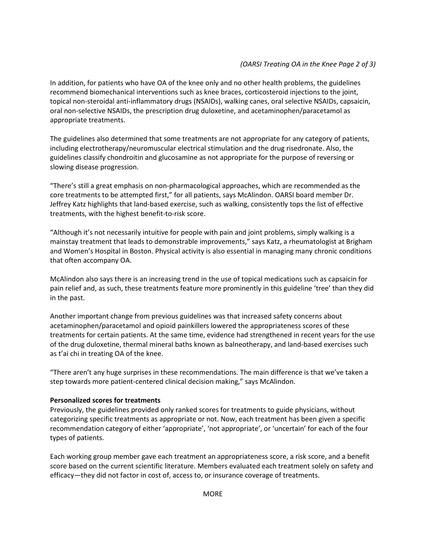In addition, for patients who have OA of the knee only and no other health problems, the guidelines recommend biomechanical interventions such as knee braces, corticosteroid injections to the joint, topical non-steroidal anti-inflammatory drugs (NSAIDs), walking canes, oral selective NSAIDs, capsaicin, oral non-selective NSAIDs, the prescription drug duloxetine, and acetaminophen/paracetamol as appropriate treatments.

The guidelines also determined that some treatments are not appropriate for any category of patients, including electrotherapy/neuromuscular electrical stimulation and the drug risedronate. Also, the guidelines classify chondroitin and glucosamine as not appropriate for the purpose of reversing or slowing disease progression.

"There's still a great emphasis on non-pharmacological approaches, which are recommended as the core treatments to be attempted first," for all patients, says McAlindon. OARSI board member Dr. Jeffrey Katz highlights that land-based exercise, such as walking, consistently tops the list of effective treatments, with the highest benefit-to-risk score.

"Although it's not necessarily intuitive for people with pain and joint problems, simply walking is a mainstay treatment that leads to demonstrable improvements," says Katz, a rheumatologist at Brigham and Women's Hospital in Boston. Physical activity is also essential in managing many chronic conditions that often accompany OA.

McAlindon also says there is an increasing trend in the use of topical medications such as capsaicin for pain relief and, as such, these treatments feature more prominently in this guideline 'tree' than they did in the past.

Another important change from previous guidelines was that increased safety concerns about acetaminophen/paracetamol and opioid painkillers lowered the appropriateness scores of these treatments for certain patients. At the same time, evidence had strengthened in recent years for the use of the drug duloxetine, thermal mineral baths known as balneotherapy, and land-based exercises such as t'ai chi in treating OA of the knee.

"There aren't any huge surprises in these recommendations. The main difference is that we've taken a step towards more patient-centered clinical decision making," says McAlindon.

## Personalized scores for treatments

Previously, the guidelines provided only ranked scores for treatments to guide physicians, without categorizing specific treatments as appropriate or not. Now, each treatment has been given a specific recommendation category of either 'appropriate', 'not appropriate', or 'uncertain' for each of the four types of patients.

Each working group member gave each treatment an appropriateness score, a risk score, and a benefit score based on the current scientific literature. Members evaluated each treatment solely on safety and efficacy—they did not factor in cost of, access to, or insurance coverage of treatments.